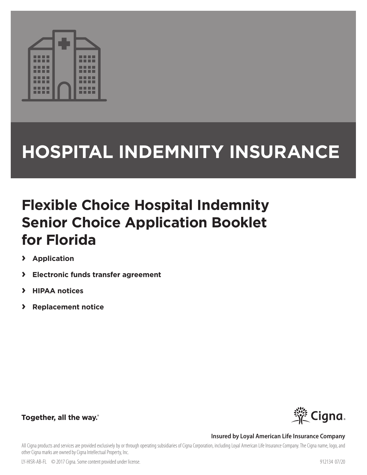

# **HOSPITAL INDEMNITY INSURANCE**

## **Flexible Choice Hospital Indemnity Senior Choice Application Booklet for Florida**

- **› Application**
- **› Electronic funds transfer agreement**
- **› HIPAA notices**
- **› Replacement notice**



## Together, all the way.

### **Insured by Loyal American Life Insurance Company**

All Cigna products and services are provided exclusively by or through operating subsidiaries of Cigna Corporation, including Loyal American Life Insurance Company. The Cigna name, logo, and other Cigna marks are owned by Cigna Intellectual Property, Inc.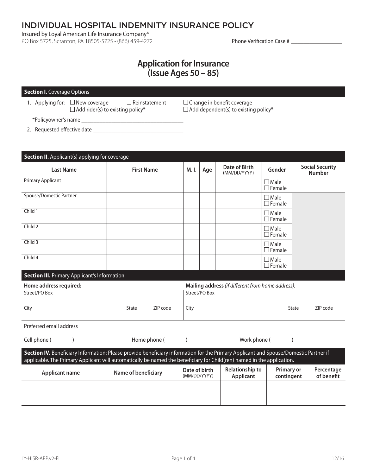INDIVIDUAL HOSPITAL INDEMNITY INSURANCE POLICY

Insured by Loyal American Life Insurance Company®

PO Box 5725, Scranton, PA 18505-5725 • (866) 459-4272 Phone Verification Case # \_\_\_\_\_\_\_\_\_\_\_\_\_\_\_\_\_\_\_\_

## **Application for Insurance (Issue Ages 50 – 85)**

#### **Section I.** Coverage Options

1. Applying for:  $\Box$  New coverage  $\Box$  Reinstatement  $\Box$  Change in benefit coverage  $\Box$  Add rider(s) to existing policy\*  $\Box$  Add dependent(s) to existing policy\*

\*Policyowner's name \_\_\_\_\_\_\_\_\_\_\_\_\_\_\_\_\_\_\_\_\_\_\_\_\_\_\_\_\_\_\_\_\_\_

2. Requested eff ective date \_\_\_\_\_\_\_\_\_\_\_\_\_\_\_\_\_\_\_\_\_\_\_\_\_\_\_\_\_\_

| <b>Section II.</b> Applicant(s) applying for coverage |                                                                                                                                                                                                                                                                |                               |               |                                                   |                                 |                                         |
|-------------------------------------------------------|----------------------------------------------------------------------------------------------------------------------------------------------------------------------------------------------------------------------------------------------------------------|-------------------------------|---------------|---------------------------------------------------|---------------------------------|-----------------------------------------|
| <b>Last Name</b>                                      | <b>First Name</b>                                                                                                                                                                                                                                              | M. I.                         | Age           | <b>Date of Birth</b><br>(MM/DD/YYYY)              | Gender                          | <b>Social Security</b><br><b>Number</b> |
| <b>Primary Applicant</b>                              |                                                                                                                                                                                                                                                                |                               |               |                                                   | $\Box$ Male<br>$\Box$ Female    |                                         |
| Spouse/Domestic Partner                               |                                                                                                                                                                                                                                                                |                               |               |                                                   | $\Box$ Male<br>$\Box$ Female    |                                         |
| Child 1                                               |                                                                                                                                                                                                                                                                |                               |               |                                                   | $\Box$ Male<br>$\Box$ Female    |                                         |
| Child 2                                               |                                                                                                                                                                                                                                                                |                               |               |                                                   | $\Box$ Male<br>$\Box$ Female    |                                         |
| Child 3                                               |                                                                                                                                                                                                                                                                |                               |               |                                                   | $\Box$ Male<br>$\Box$ Female    |                                         |
| Child 4                                               |                                                                                                                                                                                                                                                                |                               |               |                                                   | $\Box$ Male<br>$\Box$ Female    |                                         |
| <b>Section III.</b> Primary Applicant's Information   |                                                                                                                                                                                                                                                                |                               |               |                                                   |                                 |                                         |
| Home address required:<br>Street/PO Box               |                                                                                                                                                                                                                                                                |                               | Street/PO Box | Mailing address (if different from home address): |                                 |                                         |
| City                                                  | ZIP code<br>State                                                                                                                                                                                                                                              | City                          |               |                                                   |                                 | ZIP code<br>State                       |
| Preferred email address                               |                                                                                                                                                                                                                                                                |                               |               |                                                   |                                 |                                         |
| Cell phone (                                          | Home phone (                                                                                                                                                                                                                                                   | $\mathcal{E}$                 |               | Work phone (                                      |                                 |                                         |
|                                                       | Section IV. Beneficiary Information: Please provide beneficiary information for the Primary Applicant and Spouse/Domestic Partner if<br>applicable. The Primary Applicant will automatically be named the beneficiary for Child(ren) named in the application. |                               |               |                                                   |                                 |                                         |
| <b>Applicant name</b>                                 | Name of beneficiary                                                                                                                                                                                                                                            | Date of birth<br>(MM/DD/YYYY) |               | <b>Relationship to</b><br><b>Applicant</b>        | <b>Primary or</b><br>contingent | Percentage<br>of benefit                |
|                                                       |                                                                                                                                                                                                                                                                |                               |               |                                                   |                                 |                                         |
|                                                       |                                                                                                                                                                                                                                                                |                               |               |                                                   |                                 |                                         |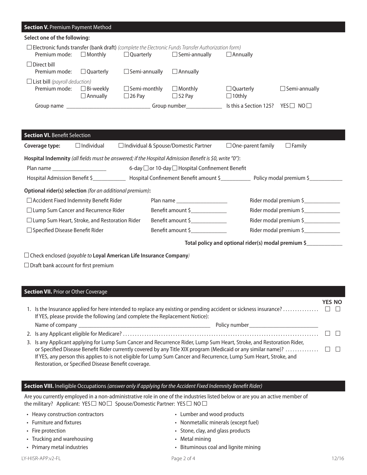#### **Section V. Premium Payment Method**

| Select one of the following:                                                                                                                                                                                |                                     |                                      |                                 |                                   |                      |  |  |  |  |
|-------------------------------------------------------------------------------------------------------------------------------------------------------------------------------------------------------------|-------------------------------------|--------------------------------------|---------------------------------|-----------------------------------|----------------------|--|--|--|--|
| $\Box$ Electronic funds transfer (bank draft) (complete the Electronic Funds Transfer Authorization form)<br>$\Box$ Semi-annually<br>$\Box$ Monthly<br>$\Box$ Quarterly<br>Premium mode:<br>$\Box$ Annually |                                     |                                      |                                 |                                   |                      |  |  |  |  |
| $\Box$ Direct bill<br>Premium mode:                                                                                                                                                                         | $\Box$ Quarterly                    | $\Box$ Semi-annually                 | $\Box$ Annually                 |                                   |                      |  |  |  |  |
| $\Box$ List bill (payroll deduction)<br>Premium mode:                                                                                                                                                       | $\Box$ Bi-weekly<br>$\Box$ Annually | $\Box$ Semi-monthly<br>$\Box$ 26 Pay | $\Box$ Monthly<br>$\Box$ 52 Pay | $\Box$ Quarterly<br>$\Box$ 10thly | $\Box$ Semi-annually |  |  |  |  |
| Group name                                                                                                                                                                                                  |                                     |                                      | Group number                    | Is this a Section 125?            | YFSI I<br>NOL L      |  |  |  |  |

| <b>Section VI.</b> Benefit Selection                                                                                                                                                                                           |                                                      |  |                                                     |                          |  |                        |  |  |
|--------------------------------------------------------------------------------------------------------------------------------------------------------------------------------------------------------------------------------|------------------------------------------------------|--|-----------------------------------------------------|--------------------------|--|------------------------|--|--|
| Coverage type:                                                                                                                                                                                                                 | $\Box$ Individual                                    |  | $\Box$ Individual & Spouse/Domestic Partner         | $\Box$ One-parent family |  | $\Box$ Family          |  |  |
| Hospital Indemnity (all fields must be answered; if the Hospital Admission Benefit is \$0, write "0"):                                                                                                                         |                                                      |  |                                                     |                          |  |                        |  |  |
| Plan name and the control of the control of the control of the control of the control of the control of the control of the control of the control of the control of the control of the control of the control of the control o |                                                      |  | 6-day □ or 10-day □ Hospital Confinement Benefit    |                          |  |                        |  |  |
|                                                                                                                                                                                                                                | Hospital Admission Benefit \$                        |  |                                                     |                          |  |                        |  |  |
| Optional rider(s) selection (for an additional premium):                                                                                                                                                                       |                                                      |  |                                                     |                          |  |                        |  |  |
|                                                                                                                                                                                                                                | $\Box$ Accident Fixed Indemnity Benefit Rider        |  | Plan name                                           |                          |  | Rider modal premium \$ |  |  |
|                                                                                                                                                                                                                                | □ Lump Sum Cancer and Recurrence Rider               |  | Benefit amount \$                                   |                          |  | Rider modal premium \$ |  |  |
|                                                                                                                                                                                                                                | $\Box$ Lump Sum Heart, Stroke, and Restoration Rider |  | Benefit amount \$                                   |                          |  | Rider modal premium \$ |  |  |
| $\Box$ Specified Disease Benefit Rider                                                                                                                                                                                         |                                                      |  | Benefit amount \$                                   |                          |  | Rider modal premium \$ |  |  |
|                                                                                                                                                                                                                                |                                                      |  | Total policy and optional rider(s) modal premium \$ |                          |  |                        |  |  |

Check enclosed *(payable to* **Loyal American Life Insurance Company***)* 

 $\square$  Draft bank account for first premium

| <b>Section VII.</b> Prior or Other Coverage                                                                                                                                                                                                                                                                                                                                                                                                        |        |
|----------------------------------------------------------------------------------------------------------------------------------------------------------------------------------------------------------------------------------------------------------------------------------------------------------------------------------------------------------------------------------------------------------------------------------------------------|--------|
| If YES, please provide the following (and complete the Replacement Notice):                                                                                                                                                                                                                                                                                                                                                                        | YES NO |
|                                                                                                                                                                                                                                                                                                                                                                                                                                                    |        |
|                                                                                                                                                                                                                                                                                                                                                                                                                                                    |        |
| 3. Is any Applicant applying for Lump Sum Cancer and Recurrence Rider, Lump Sum Heart, Stroke, and Restoration Rider,<br>or Specified Disease Benefit Rider currently covered by any Title XIX program (Medicaid or any similar name)? $\ldots\ldots\ldots\qquad\Box$<br>If YES, any person this applies to is not eligible for Lump Sum Cancer and Recurrence, Lump Sum Heart, Stroke, and<br>Restoration, or Specified Disease Benefit coverage. |        |

#### **Section VIII.** Ineligible Occupations *(answer only if applying for the Accident Fixed Indemnity Benefi t Rider)*

Are you currently employed in a non-administrative role in one of the industries listed below or are you an active member of the military? Applicant: YES  $\Box$  NO  $\Box$  Spouse/Domestic Partner: YES  $\Box$  NO  $\Box$ 

- Heavy construction contractors
- Furniture and fixtures
- Fire protection
- Trucking and warehousing
- Primary metal industries

• Lumber and wood products • Nonmetallic minerals (except fuel)

- Stone, clay, and glass products
- Metal mining
- Bituminous coal and lignite mining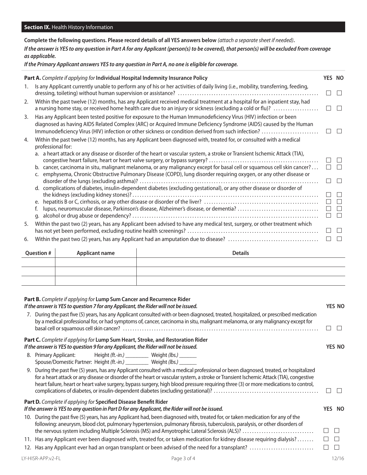**Complete the following questions. Please record details of all YES answers below** *(attach a separate sheet if needed)***.**  *If the answer is YES to any question in Part A for any Applicant (person(s) to be covered), that person(s) will be excluded from coverage as applicable.* 

*If the Primary Applicant answers YES to any question in Part A, no one is eligible for coverage.* 

| Part A. Complete if applying for Individual Hospital Indemnity Insurance Policy                                                                                                                                                                                                                                                                                                                                                                                                                                                                                                                     | YES NO                                                   |                                                                |
|-----------------------------------------------------------------------------------------------------------------------------------------------------------------------------------------------------------------------------------------------------------------------------------------------------------------------------------------------------------------------------------------------------------------------------------------------------------------------------------------------------------------------------------------------------------------------------------------------------|----------------------------------------------------------|----------------------------------------------------------------|
| Is any Applicant currently unable to perform any of his or her activities of daily living (i.e., mobility, transferring, feeding,<br>1.                                                                                                                                                                                                                                                                                                                                                                                                                                                             | $\Box$                                                   | $\Box$                                                         |
| Within the past twelve (12) months, has any Applicant received medical treatment at a hospital for an inpatient stay, had<br>2.<br>a nursing home stay, or received home health care due to an injury or sickness (excluding a cold or flu)?                                                                                                                                                                                                                                                                                                                                                        | ⊔                                                        | $\Box$                                                         |
| Has any Applicant been tested positive for exposure to the Human Immunodeficiency Virus (HIV) infection or been<br>3.<br>diagnosed as having AIDS Related Complex (ARC) or Acquired Immune Deficiency Syndrome (AIDS) caused by the Human<br>Immunodeficiency Virus (HIV) infection or other sickness or condition derived from such infection?<br>Within the past twelve (12) months, has any Applicant been diagnosed with, treated for, or consulted with a medical<br>4.<br>professional for:                                                                                                   | $\Box$                                                   |                                                                |
| a. a heart attack or any disease or disorder of the heart or vascular system, a stroke or Transient Ischemic Attack (TIA),<br>b. cancer, carcinoma in situ, malignant melanoma, or any malignancy except for basal cell or squamous cell skin cancer?<br>c. emphysema, Chronic Obstructive Pulmonary Disease (COPD), lung disorder requiring oxygen, or any other disease or<br>d. complications of diabetes, insulin-dependent diabetes (excluding gestational), or any other disease or disorder of<br>lupus, neuromuscular disease, Parkinson's disease, Alzheimer's disease, or dementia?<br>f. | $\Box$<br>$\Box$<br>$\Box$<br>$\Box$<br>$\Box$<br>$\Box$ | $\mathbf{L}$<br>$\Box$<br>$\Box$<br>$\Box$<br>$\Box$<br>$\Box$ |
| Within the past two (2) years, has any Applicant been advised to have any medical test, surgery, or other treatment which<br>5.<br>6.                                                                                                                                                                                                                                                                                                                                                                                                                                                               | $\Box$<br>ப                                              | $\Box$<br>$\Box$<br>$\Box$                                     |
| <b>Question #</b><br><b>Details</b><br><b>Applicant name</b>                                                                                                                                                                                                                                                                                                                                                                                                                                                                                                                                        |                                                          |                                                                |
|                                                                                                                                                                                                                                                                                                                                                                                                                                                                                                                                                                                                     |                                                          |                                                                |
| Part B. Complete if applying for Lump Sum Cancer and Recurrence Rider<br>If the answer is YES to question 7 for any Applicant, the Rider will not be issued.<br>7. During the past five (5) years, has any Applicant consulted with or been diagnosed, treated, hospitalized, or prescribed medication<br>by a medical professional for, or had symptoms of, cancer, carcinoma in situ, malignant melanoma, or any malignancy except for                                                                                                                                                            |                                                          | <b>YES NO</b>                                                  |
| Part C. Complete if applying for Lump Sum Heart, Stroke, and Restoration Rider                                                                                                                                                                                                                                                                                                                                                                                                                                                                                                                      | $\mathbf{L}$                                             | $\mathbf{L}$                                                   |
| If the answer is YES to question 9 for any Applicant, the Rider will not be issued.<br>8. Primary Applicant:<br>Height (ft.-in.) _____________ Weight (lbs.) ________                                                                                                                                                                                                                                                                                                                                                                                                                               |                                                          | YES NO                                                         |
| Spouse/Domestic Partner: Height (ft.-in.) ____________ Weight (lbs.) ________<br>9. During the past five (5) years, has any Applicant consulted with a medical professional or been diagnosed, treated, or hospitalized<br>for a heart attack or any disease or disorder of the heart or vascular system, a stroke or Transient Ischemic Attack (TIA), congestive<br>heart failure, heart or heart valve surgery, bypass surgery, high blood pressure requiring three (3) or more medications to control,                                                                                           | $\Box$                                                   | $\perp$                                                        |

| 10. During the past five (5) years, has any Applicant had, been diagnosed with, treated for, or taken medication for any of the |               |  |
|---------------------------------------------------------------------------------------------------------------------------------|---------------|--|
| following: aneurysm, blood clot, pulmonary hypertension, pulmonary fibrosis, tuberculosis, paralysis, or other disorders of     |               |  |
| the nervous system including Multiple Sclerosis (MS) and Amyotrophic Lateral Sclerosis (ALS)?                                   | $\Box$ $\Box$ |  |
| 11. Has any Applicant ever been diagnosed with, treated for, or taken medication for kidney disease requiring dialysis?         | $\Box$ $\Box$ |  |
|                                                                                                                                 | $\Box$        |  |

|  | 12. Has any Applicant ever had an organ transplant or been advised of the need for a transplant? |  |
|--|--------------------------------------------------------------------------------------------------|--|
|  |                                                                                                  |  |

LY-HISR-APP.v2-FL 12/16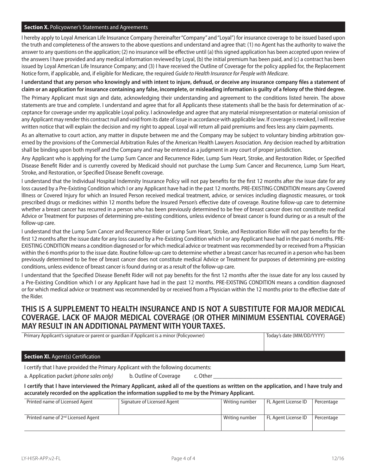#### **Section X.** Policyowner's Statements and Agreements

I hereby apply to Loyal American Life Insurance Company (hereinafter "Company" and "Loyal") for insurance coverage to be issued based upon the truth and completeness of the answers to the above questions and understand and agree that: (1) no Agent has the authority to waive the answer to any questions on the application; (2) no insurance will be effective until (a) this signed application has been accepted upon review of the answers I have provided and any medical information reviewed by Loyal, (b) the initial premium has been paid, and (c) a contract has been issued by Loyal American Life Insurance Company; and (3) I have received the Outline of Coverage for the policy applied for, the Replacement Notice form, if applicable, and, if eligible for Medicare, the required *Guide to Health Insurance for People with Medicare*.

I understand that any person who knowingly and with intent to injure, defraud, or deceive any insurance company files a statement of **claim or an application for insurance containing any false, incomplete, or misleading information is guilty of a felony of the third degree.** 

The Primary Applicant must sign and date, acknowledging their understanding and agreement to the conditions listed herein. The above statements are true and complete. I understand and agree that for all Applicants these statements shall be the basis for determination of acceptance for coverage under my applicable Loyal policy. I acknowledge and agree that any material misrepresentation or material omission of any Applicant may render this contract null and void from its date of issue in accordance with applicable law. If coverage is revoked, I will receive written notice that will explain the decision and my right to appeal. Loyal will return all paid premiums and fees less any claim payments.

As an alternative to court action, any matter in dispute between me and the Company may be subject to voluntary binding arbitration governed by the provisions of the Commercial Arbitration Rules of the American Health Lawyers Association. Any decision reached by arbitration shall be binding upon both myself and the Company and may be entered as a judgment in any court of proper jurisdiction.

Any Applicant who is applying for the Lump Sum Cancer and Recurrence Rider, Lump Sum Heart, Stroke, and Restoration Rider, or Specified Disease Benefit Rider and is currently covered by Medicaid should not purchase the Lump Sum Cancer and Recurrence, Lump Sum Heart, Stroke, and Restoration, or Specified Disease Benefit coverage.

I understand that the Individual Hospital Indemnity Insurance Policy will not pay benefits for the first 12 months after the issue date for any loss caused by a Pre-Existing Condition which I or any Applicant have had in the past 12 months. PRE-EXISTING CONDITION means any Covered Illness or Covered Injury for which an Insured Person received medical treatment, advice, or services including diagnostic measures, or took prescribed drugs or medicines within 12 months before the Insured Person's effective date of coverage. Routine follow-up care to determine whether a breast cancer has recurred in a person who has been previously determined to be free of breast cancer does not constitute medical Advice or Treatment for purposes of determining pre-existing conditions, unless evidence of breast cancer is found during or as a result of the follow-up care.

I understand that the Lump Sum Cancer and Recurrence Rider or Lump Sum Heart, Stroke, and Restoration Rider will not pay benefits for the first 12 months after the issue date for any loss caused by a Pre-Existing Condition which I or any Applicant have had in the past 6 months. PRE-EXISTING CONDITION means a condition diagnosed or for which medical advice or treatment was recommended by or received from a Physician within the 6 months prior to the issue date. Routine follow-up care to determine whether a breast cancer has recurred in a person who has been previously determined to be free of breast cancer does not constitute medical Advice or Treatment for purposes of determining pre-existing conditions, unless evidence of breast cancer is found during or as a result of the follow-up care.

I understand that the Specified Disease Benefit Rider will not pay benefits for the first 12 months after the issue date for any loss caused by a Pre-Existing Condition which I or any Applicant have had in the past 12 months. PRE-EXISTING CONDITION means a condition diagnosed or for which medical advice or treatment was recommended by or received from a Physician within the 12 months prior to the effective date of the Rider.

## **THIS IS A SUPPLEMENT TO HEALTH INSURANCE AND IS NOT A SUBSTITUTE FOR MAJOR MEDICAL COVERAGE. LACK OF MAJOR MEDICAL COVERAGE (OR OTHER MINIMUM ESSENTIAL COVERAGE) MAY RESULT IN AN ADDITIONAL PAYMENT WITH YOUR TAXES.**

Primary Applicant's signature or parent or guardian if Applicant is a minor (Policyowner) Today's date (MM/DD/YYYY)

#### **Section XI.** Agent(s) Certification

I certify that I have provided the Primary Applicant with the following documents:

a. Application packet (phone sales only) b. Outline of Coverage c. Other

**I certify that I have interviewed the Primary Applicant, asked all of the questions as written on the application, and I have truly and accurately recorded on the application the information supplied to me by the Primary Applicant.** 

| Printed name of Licensed Agent                 | Signature of Licensed Agent | Writing number | FL Agent License ID | Percentage |
|------------------------------------------------|-----------------------------|----------------|---------------------|------------|
| Printed name of 2 <sup>nd</sup> Licensed Agent |                             | Writing number | FL Agent License ID | Percentage |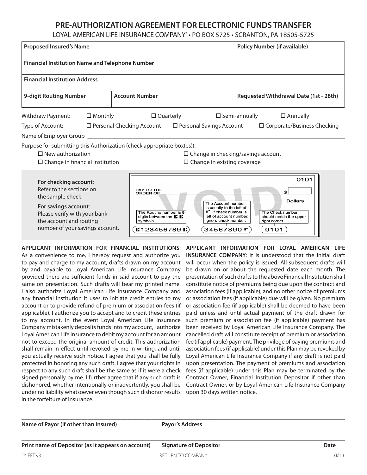## **PRE-AUTHORIZATION AGREEMENT FOR ELECTRONIC FUNDS TRANSFER**

LOYAL AMERICAN LIFE INSURANCE COMPANY® • PO BOX 5725 • SCRANTON, PA 18505-5725

| <b>Proposed Insured's Name</b>                                                                                                                                                               |                   |  | <b>Policy Number (if available)</b>                                                                                                                    |                                                                                                                                              |                                                                                             |                                    |
|----------------------------------------------------------------------------------------------------------------------------------------------------------------------------------------------|-------------------|--|--------------------------------------------------------------------------------------------------------------------------------------------------------|----------------------------------------------------------------------------------------------------------------------------------------------|---------------------------------------------------------------------------------------------|------------------------------------|
| <b>Financial Institution Name and Telephone Number</b>                                                                                                                                       |                   |  |                                                                                                                                                        |                                                                                                                                              |                                                                                             |                                    |
| <b>Financial Institution Address</b>                                                                                                                                                         |                   |  |                                                                                                                                                        |                                                                                                                                              |                                                                                             |                                    |
| 9-digit Routing Number                                                                                                                                                                       |                   |  | <b>Account Number</b>                                                                                                                                  |                                                                                                                                              | Requested Withdrawal Date (1st - 28th)                                                      |                                    |
| Withdraw Payment:                                                                                                                                                                            | $\square$ Monthly |  | $\square$ Quarterly                                                                                                                                    |                                                                                                                                              | $\square$ Semi-annually<br>$\square$ Annually                                               |                                    |
| Type of Account:<br>$\Box$ Personal Checking Account                                                                                                                                         |                   |  |                                                                                                                                                        | $\Box$ Personal Savings Account                                                                                                              |                                                                                             | $\Box$ Corporate/Business Checking |
| Name of Employer Group                                                                                                                                                                       |                   |  |                                                                                                                                                        |                                                                                                                                              |                                                                                             |                                    |
| Purpose for submitting this Authorization (check appropriate box(es)):<br>$\Box$ New authorization<br>$\square$ Change in financial institution                                              |                   |  |                                                                                                                                                        | $\Box$ Change in existing coverage                                                                                                           | $\square$ Change in checking/savings account                                                |                                    |
| For checking account:<br>Refer to the sections on<br>the sample check.<br>For savings account:<br>Please verify with your bank<br>the account and routing<br>number of your savings account. |                   |  | PAY TO THE<br><b>ORDER OF</b><br>The Routing number is 9<br>digits between the $\blacksquare$ :<br>symbols.<br>$\blacksquare$ 123456789 $\blacksquare$ | The Account number<br>is usually to the left of<br>II". If check number is<br>left of account number.<br>ignore check number.<br>34567890 ·· | \$<br><b>Dollars</b><br>The Check number<br>should match the upper<br>right corner.<br>0101 | 0101                               |

**APPLICANT INFORMATION FOR FINANCIAL INSTITUTIONS**: As a convenience to me, I hereby request and authorize you to pay and charge to my account, drafts drawn on my account by and payable to Loyal American Life Insurance Company provided there are sufficient funds in said account to pay the same on presentation. Such drafts will bear my printed name. I also authorize Loyal American Life Insurance Company and any financial institution it uses to initiate credit entries to my account or to provide refund of premium or association fees (if applicable). I authorize you to accept and to credit these entries to my account. In the event Loyal American Life Insurance Company mistakenly deposits funds into my account, I authorize Loyal American Life Insurance to debit my account for an amount not to exceed the original amount of credit. This authorization shall remain in effect until revoked by me in writing, and until you actually receive such notice. I agree that you shall be fully protected in honoring any such draft. I agree that your rights in respect to any such draft shall be the same as if it were a check signed personally by me. I further agree that if any such draft is dishonored, whether intentionally or inadvertently, you shall be under no liability whatsoever even though such dishonor results in the forfeiture of insurance.

**APPLICANT INFORMATION FOR LOYAL AMERICAN LIFE INSURANCE COMPANY**: It is understood that the initial draft will occur when the policy is issued. All subsequent drafts will be drawn on or about the requested date each month. The presentation of such drafts to the above Financial Institution shall constitute notice of premiums being due upon the contract and association fees (if applicable), and no other notice of premiums or association fees (if applicable) due will be given. No premium or association fee (if applicable) shall be deemed to have been paid unless and until actual payment of the draft drawn for such premium or association fee (if applicable) payment has been received by Loyal American Life Insurance Company. The cancelled draft will constitute receipt of premium or association fee (if applicable) payment. The privilege of paying premiums and association fees (if applicable) under this Plan may be revoked by Loyal American Life Insurance Company if any draft is not paid upon presentation. The payment of premiums and association fees (if applicable) under this Plan may be terminated by the Contract Owner, Financial Institution Depositor if other than Contract Owner, or by Loyal American Life Insurance Company upon 30 days written notice.

Name of Payor (if other than Insured) Payor's Address

\_\_\_\_\_\_\_\_\_\_\_\_\_\_\_\_\_\_\_\_\_\_\_\_\_\_\_\_\_\_\_\_\_\_\_\_\_\_\_\_\_\_\_\_\_\_\_\_\_\_\_\_\_\_\_\_\_\_\_\_\_\_\_\_\_\_\_\_\_\_\_\_\_\_\_\_\_\_\_\_\_\_\_\_\_\_\_\_\_\_\_\_\_\_\_\_\_\_\_\_\_\_\_\_\_\_\_\_

\_\_\_\_\_\_\_\_\_\_\_\_\_\_\_\_\_\_\_\_\_\_\_\_\_\_\_\_\_\_\_\_\_\_\_\_\_\_\_\_\_\_\_\_\_\_\_\_\_\_\_\_\_\_\_\_\_\_\_\_\_\_\_\_\_\_\_\_\_\_\_\_\_\_\_\_\_\_\_\_\_\_\_\_\_\_\_\_\_\_\_\_\_\_\_\_\_\_\_\_\_\_\_\_\_\_\_\_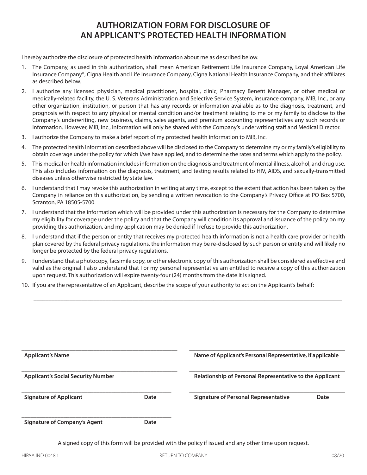## **AUTHORIZATION FORM FOR DISCLOSURE OF AN APPLICANT'S PROTECTED HEALTH INFORMATION**

I hereby authorize the disclosure of protected health information about me as described below.

- 1. The Company, as used in this authorization, shall mean American Retirement Life Insurance Company, Loyal American Life Insurance Company®, Cigna Health and Life Insurance Company, Cigna National Health Insurance Company, and their affiliates as described below.
- 2. I authorize any licensed physician, medical practitioner, hospital, clinic, Pharmacy Benefi t Manager, or other medical or medically-related facility, the U. S. Veterans Administration and Selective Service System, insurance company, MIB, Inc., or any other organization, institution, or person that has any records or information available as to the diagnosis, treatment, and prognosis with respect to any physical or mental condition and/or treatment relating to me or my family to disclose to the Company's underwriting, new business, claims, sales agents, and premium accounting representatives any such records or information. However, MIB, Inc., information will only be shared with the Company's underwriting staff and Medical Director.
- 3. I authorize the Company to make a brief report of my protected health information to MIB, Inc.
- 4. The protected health information described above will be disclosed to the Company to determine my or my family's eligibility to obtain coverage under the policy for which I/we have applied, and to determine the rates and terms which apply to the policy.
- 5. This medical or health information includes information on the diagnosis and treatment of mental illness, alcohol, and drug use. This also includes information on the diagnosis, treatment, and testing results related to HIV, AIDS, and sexually-transmitted diseases unless otherwise restricted by state law.
- 6. I understand that I may revoke this authorization in writing at any time, except to the extent that action has been taken by the Company in reliance on this authorization, by sending a written revocation to the Company's Privacy Office at PO Box 5700, Scranton, PA 18505-5700.
- 7. I understand that the information which will be provided under this authorization is necessary for the Company to determine my eligibility for coverage under the policy and that the Company will condition its approval and issuance of the policy on my providing this authorization, and my application may be denied if I refuse to provide this authorization.
- 8. I understand that if the person or entity that receives my protected health information is not a health care provider or health plan covered by the federal privacy regulations, the information may be re-disclosed by such person or entity and will likely no longer be protected by the federal privacy regulations.
- 9. I understand that a photocopy, facsimile copy, or other electronic copy of this authorization shall be considered as effective and valid as the original. I also understand that I or my personal representative am entitled to receive a copy of this authorization upon request. This authorization will expire twenty-four (24) months from the date it is signed.

\_\_\_\_\_\_\_\_\_\_\_\_\_\_\_\_\_\_\_\_\_\_\_\_\_\_\_\_\_\_\_\_\_\_\_\_\_\_\_\_\_\_\_\_\_\_\_\_\_\_\_\_\_\_\_\_\_\_\_\_\_\_\_\_\_\_\_\_\_\_\_\_\_\_\_\_\_\_\_\_\_\_\_\_\_\_\_\_\_\_\_\_\_\_\_\_\_\_\_\_\_\_\_

10. If you are the representative of an Applicant, describe the scope of your authority to act on the Applicant's behalf:

| <b>Applicant's Name</b>                   |      | Name of Applicant's Personal Representative, if applicable |      |
|-------------------------------------------|------|------------------------------------------------------------|------|
| <b>Applicant's Social Security Number</b> |      | Relationship of Personal Representative to the Applicant   |      |
| <b>Signature of Applicant</b>             | Date | <b>Signature of Personal Representative</b>                | Date |
| <b>Signature of Company's Agent</b>       | Date |                                                            |      |

A signed copy of this form will be provided with the policy if issued and any other time upon request.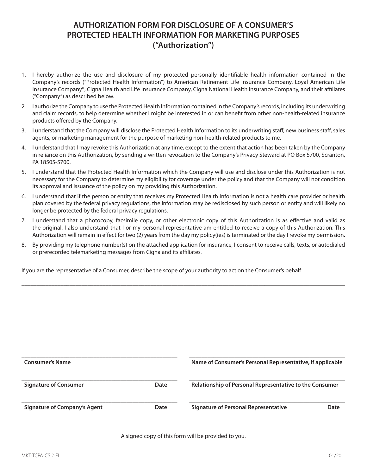## **AUTHORIZATION FORM FOR DISCLOSURE OF A CONSUMER'S PROTECTED HEALTH INFORMATION FOR MARKETING PURPOSES ("Authorization")**

- 1. I hereby authorize the use and disclosure of my protected personally identifiable health information contained in the Company's records ("Protected Health Information") to American Retirement Life Insurance Company, Loyal American Life Insurance Company®, Cigna Health and Life Insurance Company, Cigna National Health Insurance Company, and their affiliates ("Company") as described below.
- 2. I authorize the Company to use the Protected Health Information contained in the Company's records, including its underwriting and claim records, to help determine whether I might be interested in or can benefit from other non-health-related insurance products offered by the Company.
- 3. I understand that the Company will disclose the Protected Health Information to its underwriting staff, new business staff, sales agents, or marketing management for the purpose of marketing non-health-related products to me.
- 4. I understand that I may revoke this Authorization at any time, except to the extent that action has been taken by the Company in reliance on this Authorization, by sending a written revocation to the Company's Privacy Steward at PO Box 5700, Scranton, PA 18505-5700.
- 5. I understand that the Protected Health Information which the Company will use and disclose under this Authorization is not necessary for the Company to determine my eligibility for coverage under the policy and that the Company will not condition its approval and issuance of the policy on my providing this Authorization.
- 6. I understand that if the person or entity that receives my Protected Health Information is not a health care provider or health plan covered by the federal privacy regulations, the information may be redisclosed by such person or entity and will likely no longer be protected by the federal privacy regulations.
- 7. I understand that a photocopy, facsimile copy, or other electronic copy of this Authorization is as effective and valid as the original. I also understand that I or my personal representative am entitled to receive a copy of this Authorization. This Authorization will remain in effect for two (2) years from the day my policy(ies) is terminated or the day I revoke my permission.
- 8. By providing my telephone number(s) on the attached application for insurance, I consent to receive calls, texts, or autodialed or prerecorded telemarketing messages from Cigna and its affiliates.

\_\_\_\_\_\_\_\_\_\_\_\_\_\_\_\_\_\_\_\_\_\_\_\_\_\_\_\_\_\_\_\_\_\_\_\_\_\_\_\_\_\_\_\_\_\_\_\_\_\_\_\_\_\_\_\_\_\_\_\_\_\_\_\_\_\_\_\_\_\_\_\_\_\_\_\_\_\_\_\_\_\_\_\_\_\_\_\_\_\_\_\_\_\_\_\_\_\_\_\_\_\_\_\_\_\_\_\_

If you are the representative of a Consumer, describe the scope of your authority to act on the Consumer's behalf:

| <b>Consumer's Name</b>              |      | Name of Consumer's Personal Representative, if applicable |      |
|-------------------------------------|------|-----------------------------------------------------------|------|
| <b>Signature of Consumer</b>        | Date | Relationship of Personal Representative to the Consumer   |      |
| <b>Signature of Company's Agent</b> | Date | <b>Signature of Personal Representative</b>               | Date |

A signed copy of this form will be provided to you.